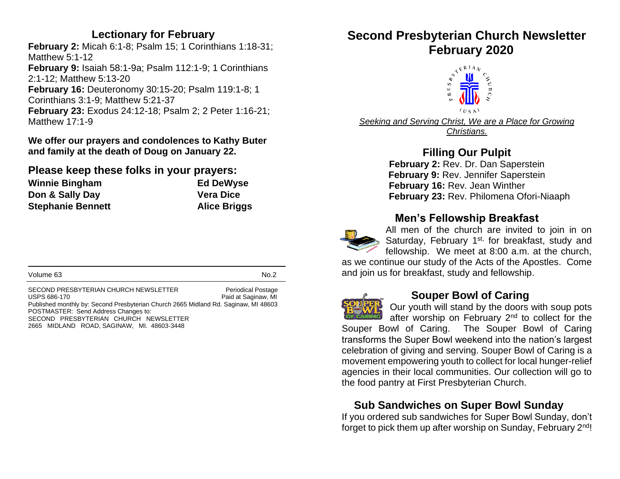# **Lectionary for February**

**February 2:** Micah 6:1-8; Psalm 15; 1 Corinthians 1:18-31; Matthew 5:1-12 **February 9:** Isaiah 58:1-9a; Psalm 112:1-9; 1 Corinthians 2:1-12; Matthew 5:13-20 **February 16:** Deuteronomy 30:15-20; Psalm 119:1-8; 1 Corinthians 3:1-9; Matthew 5:21-37 **February 23:** Exodus 24:12-18; Psalm 2; 2 Peter 1:16-21; Matthew 17:1-9

**We offer our prayers and condolences to Kathy Buter and family at the death of Doug on January 22.**

#### **Please keep these folks in your prayers:**

| <b>Winnie Bingham</b>    | <b>Ed DeWyse</b>    |
|--------------------------|---------------------|
| Don & Sally Day          | <b>Vera Dice</b>    |
| <b>Stephanie Bennett</b> | <b>Alice Briggs</b> |

| Volume 63 | No.2 |
|-----------|------|
|-----------|------|

SECOND PRESBYTERIAN CHURCH NEWSLETTER Periodical Postage<br>USPS 686-170 Paid at Saginaw. MI Paid at Saginaw, MI Published monthly by: Second Presbyterian Church 2665 Midland Rd. Saginaw, MI 48603 POSTMASTER: Send Address Changes to: SECOND PRESBYTERIAN CHURCH NEWSLETTER 2665 MIDLAND ROAD, SAGINAW, MI. 48603-3448

# **Second Presbyterian Church Newsletter**



*Seeking and Serving Christ, We are a Place for Growing Christians.*

# **Filling Our Pulpit**

**February 2: Rev. Dr. Dan Saperstein February 9:** Rev. Jennifer Saperstein  **February 16:** Rev. Jean Winther **February 23:** Rev. Philomena Ofori-Niaaph

# **Men's Fellowship Breakfast**



All men of the church are invited to join in on Saturday, February 1<sup>st,</sup> for breakfast, study and fellowship. We meet at 8:00 a.m. at the church,

as we continue our study of the Acts of the Apostles. Come and join us for breakfast, study and fellowship.



#### **Souper Bowl of Caring**

Our youth will stand by the doors with soup pots after worship on February 2<sup>nd</sup> to collect for the Souper Bowl of Caring. The Souper Bowl of Caring transforms the Super Bowl weekend into the nation's largest celebration of giving and serving. Souper Bowl of Caring is a movement empowering youth to collect for local hunger-relief agencies in their local communities. Our collection will go to the food pantry at First Presbyterian Church.

# **Sub Sandwiches on Super Bowl Sunday**

If you ordered sub sandwiches for Super Bowl Sunday, don't forget to pick them up after worship on Sunday, February 2nd!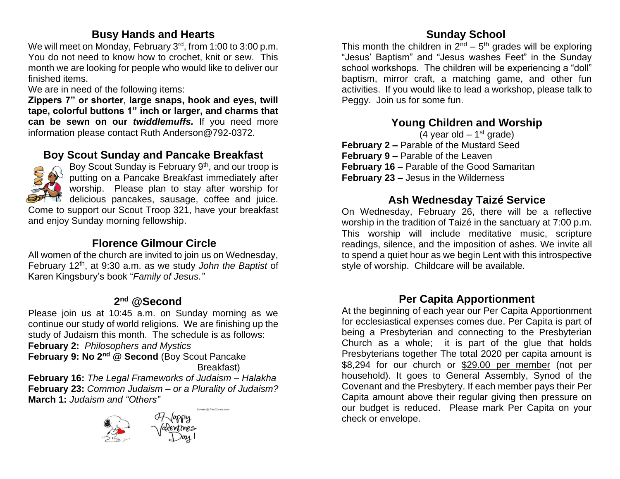# **Busy Hands and Hearts**

We will meet on Monday, February 3<sup>rd</sup>, from 1:00 to 3:00 p.m. You do not need to know how to crochet, knit or sew. This month we are looking for people who would like to deliver our finished items.

We are in need of the following items:

and enjoy Sunday morning fellowship.

**Zippers 7" or shorter**, **large snaps, hook and eyes, twill tape, colorful buttons 1" inch or larger, and charms that can be sewn on our** *twiddlemuffs.* If you need more information please contact Ruth Anderson@792-0372.

# **Boy Scout Sunday and Pancake Breakfast**



Boy Scout Sunday is February 9<sup>th</sup>, and our troop is putting on a Pancake Breakfast immediately after worship. Please plan to stay after worship for delicious pancakes, sausage, coffee and juice. Come to support our Scout Troop 321, have your breakfast

 **Florence Gilmour Circle**

All women of the church are invited to join us on Wednesday, February 12th, at 9:30 a.m. as we study *John the Baptist* of Karen Kingsbury's book "*Family of Jesus."*

#### **2 nd @Second**

Please join us at 10:45 a.m. on Sunday morning as we continue our study of world religions. We are finishing up the study of Judaism this month. The schedule is as follows: **February 2:** *Philosophers and Mystics* **February 9: No 2nd @ Second** (Boy Scout Pancake Breakfast) **February 16:** *The Legal Frameworks of Judaism – Halakha*

**February 23:** *Common Judaism – or a Plurality of Judaism?* **March 1:** *Judaism and "Others"*

Covers @ FirstCovers.com





This month the children in  $2^{nd}$  –  $5^{th}$  grades will be exploring "Jesus' Baptism" and "Jesus washes Feet" in the Sunday school workshops. The children will be experiencing a "doll" baptism, mirror craft, a matching game, and other fun activities. If you would like to lead a workshop, please talk to Peggy. Join us for some fun.

# **Young Children and Worship**

(4 year old  $-1<sup>st</sup>$  grade) **February 2 –** Parable of the Mustard Seed **February 9 –** Parable of the Leaven **February 16 –** Parable of the Good Samaritan **February 23 –** Jesus in the Wilderness

# **Ash Wednesday Taizé Service**

On Wednesday, February 26, there will be a reflective worship in the tradition of Taizé in the sanctuary at 7:00 p.m. This worship will include meditative music, scripture readings, silence, and the imposition of ashes. We invite all to spend a quiet hour as we begin Lent with this introspective style of worship. Childcare will be available.

# **Per Capita Apportionment**

At the beginning of each year our Per Capita Apportionment for ecclesiastical expenses comes due. Per Capita is part of being a Presbyterian and connecting to the Presbyterian Church as a whole; it is part of the glue that holds Presbyterians together The total 2020 per capita amount is \$8,294 for our church or \$29.00 per member (not per household). It goes to General Assembly, Synod of the Covenant and the Presbytery. If each member pays their Per Capita amount above their regular giving then pressure on our budget is reduced. Please mark Per Capita on your check or envelope.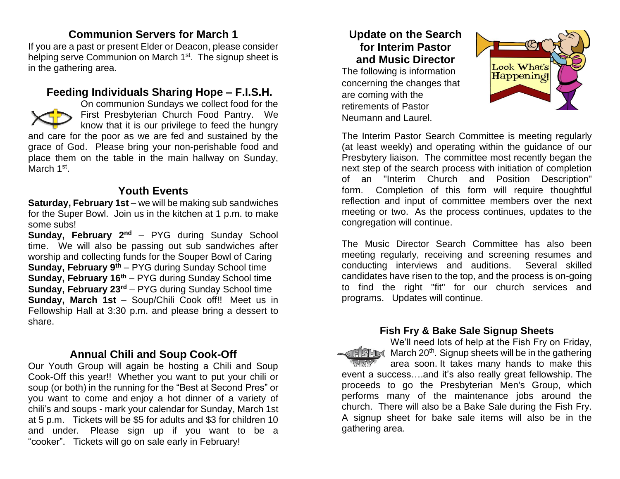# **Communion Servers for March 1**

If you are a past or present Elder or Deacon, please consider helping serve Communion on March 1<sup>st</sup>. The signup sheet is in the gathering area.

# **Feeding Individuals Sharing Hope – F.I.S.H.**



On communion Sundays we collect food for the First Presbyterian Church Food Pantry. We know that it is our privilege to feed the hungry

and care for the poor as we are fed and sustained by the grace of God. Please bring your non-perishable food and place them on the table in the main hallway on Sunday, March 1<sup>st</sup>.

#### **Youth Events**

**Saturday, February 1st** – we will be making sub sandwiches for the Super Bowl. Join us in the kitchen at 1 p.m. to make some subs!

**Sunday, February 2nd** – PYG during Sunday School time. We will also be passing out sub sandwiches after worship and collecting funds for the Souper Bowl of Caring **Sunday, February 9th** – PYG during Sunday School time **Sunday, February 16th** – PYG during Sunday School time **Sunday, February 23rd** – PYG during Sunday School time **Sunday, March 1st** – Soup/Chili Cook off!! Meet us in Fellowship Hall at 3:30 p.m. and please bring a dessert to share.

# **Annual Chili and Soup Cook-Off**

Our Youth Group will again be hosting a Chili and Soup Cook-Off this year!! Whether you want to put your chili or soup (or both) in the running for the "Best at Second Pres" or you want to come and enjoy a hot dinner of a variety of chili's and soups - mark your calendar for Sunday, March 1st at 5 p.m. Tickets will be \$5 for adults and \$3 for children 10 and under. Please sign up if you want to be a "cooker". Tickets will go on sale early in February!

# **Update on the Search for Interim Pastor and Music Director**

The following is information concerning the changes that are coming with the retirements of Pastor Neumann and Laurel.



The Interim Pastor Search Committee is meeting regularly (at least weekly) and operating within the guidance of our Presbytery liaison. The committee most recently began the next step of the search process with initiation of completion of an "Interim Church and Position Description" form. Completion of this form will require thoughtful reflection and input of committee members over the next meeting or two. As the process continues, updates to the congregation will continue.

The Music Director Search Committee has also been meeting regularly, receiving and screening resumes and conducting interviews and auditions. Several skilled candidates have risen to the top, and the process is on-going to find the right "fit" for our church services and programs. Updates will continue.

#### **Fish Fry & Bake Sale Signup Sheets**

We'll need lots of help at the Fish Fry on Friday, March 20<sup>th</sup>. Signup sheets will be in the gathering area soon. It takes many hands to make this event a success….and it's also really great fellowship. The proceeds to go the Presbyterian Men's Group, which performs many of the maintenance jobs around the church. There will also be a Bake Sale during the Fish Fry. A signup sheet for bake sale items will also be in the gathering area.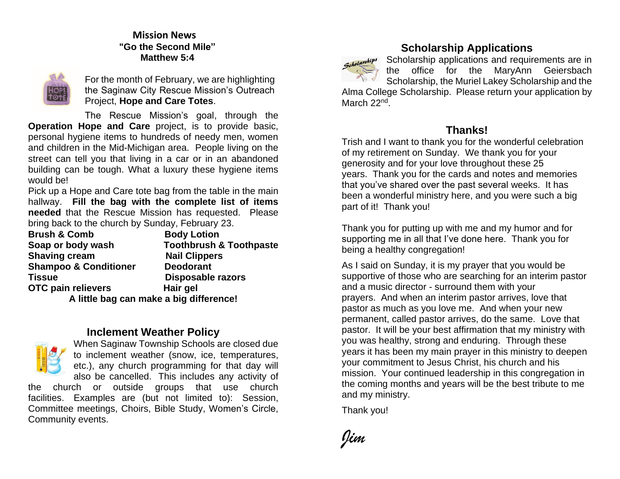#### **Mission News "Go the Second Mile" Matthew 5:4**



For the month of February, we are highlighting the Saginaw City Rescue Mission's Outreach Project, **Hope and Care Totes**.

The Rescue Mission's goal, through the **Operation Hope and Care** project, is to provide basic, personal hygiene items to hundreds of needy men, women and children in the Mid-Michigan area. People living on the street can tell you that living in a car or in an abandoned building can be tough. What a luxury these hygiene items would be!

Pick up a Hope and Care tote bag from the table in the main hallway. **Fill the bag with the complete list of items needed** that the Rescue Mission has requested. Please bring back to the church by Sunday, February 23.

| <b>Brush &amp; Comb</b>          | <b>Body Lotion</b>                      |
|----------------------------------|-----------------------------------------|
| Soap or body wash                | <b>Toothbrush &amp; Toothpaste</b>      |
| <b>Shaving cream</b>             | <b>Nail Clippers</b>                    |
| <b>Shampoo &amp; Conditioner</b> | <b>Deodorant</b>                        |
| Tissue                           | <b>Disposable razors</b>                |
| OTC pain relievers               | Hair gel                                |
|                                  | A little bag can make a big difference! |

#### **Inclement Weather Policy**



When Saginaw Township Schools are closed due to inclement weather (snow, ice, temperatures, etc.), any church programming for that day will also be cancelled. This includes any activity of

the church or outside groups that use church facilities. Examples are (but not limited to): Session, Committee meetings, Choirs, Bible Study, Women's Circle, Community events.



# **Scholarship Applications**

Scholarship applications and requirements are in the office for the MaryAnn Geiersbach Scholarship, the Muriel Lakey Scholarship and the Alma College Scholarship. Please return your application by March 22<sup>nd</sup>.

#### **Thanks!**

Trish and I want to thank you for the wonderful celebration of my retirement on Sunday. We thank you for your generosity and for your love throughout these 25 years. Thank you for the cards and notes and memories that you've shared over the past several weeks. It has been a wonderful ministry here, and you were such a big part of it! Thank you!

Thank you for putting up with me and my humor and for supporting me in all that I've done here. Thank you for being a healthy congregation!

As I said on Sunday, it is my prayer that you would be supportive of those who are searching for an interim pastor and a music director - surround them with your prayers. And when an interim pastor arrives, love that pastor as much as you love me. And when your new permanent, called pastor arrives, do the same. Love that pastor. It will be your best affirmation that my ministry with you was healthy, strong and enduring. Through these years it has been my main prayer in this ministry to deepen your commitment to Jesus Christ, his church and his mission. Your continued leadership in this congregation in the coming months and years will be the best tribute to me and my ministry.

Thank you!

*Jim*